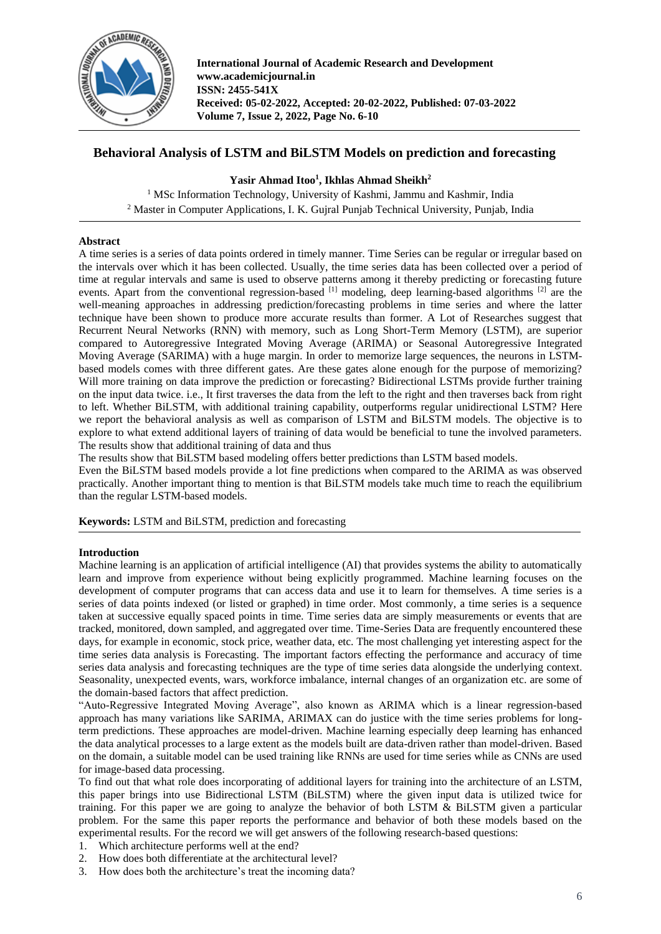

**International Journal of Academic Research and Development www.academicjournal.in ISSN: 2455-541X Received: 05-02-2022, Accepted: 20-02-2022, Published: 07-03-2022 Volume 7, Issue 2, 2022, Page No. 6-10**

# **Behavioral Analysis of LSTM and BiLSTM Models on prediction and forecasting**

# **Yasir Ahmad Itoo<sup>1</sup> , Ikhlas Ahmad Sheikh<sup>2</sup>**

<sup>1</sup> MSc Information Technology, University of Kashmi, Jammu and Kashmir, India <sup>2</sup> Master in Computer Applications, I. K. Gujral Punjab Technical University, Punjab, India

# **Abstract**

A time series is a series of data points ordered in timely manner. Time Series can be regular or irregular based on the intervals over which it has been collected. Usually, the time series data has been collected over a period of time at regular intervals and same is used to observe patterns among it thereby predicting or forecasting future events. Apart from the conventional regression-based <sup>[1]</sup> modeling, deep learning-based algorithms <sup>[2]</sup> are the well-meaning approaches in addressing prediction/forecasting problems in time series and where the latter technique have been shown to produce more accurate results than former. A Lot of Researches suggest that Recurrent Neural Networks (RNN) with memory, such as Long Short-Term Memory (LSTM), are superior compared to Autoregressive Integrated Moving Average (ARIMA) or Seasonal Autoregressive Integrated Moving Average (SARIMA) with a huge margin. In order to memorize large sequences, the neurons in LSTMbased models comes with three different gates. Are these gates alone enough for the purpose of memorizing? Will more training on data improve the prediction or forecasting? Bidirectional LSTMs provide further training on the input data twice. i.e., It first traverses the data from the left to the right and then traverses back from right to left. Whether BiLSTM, with additional training capability, outperforms regular unidirectional LSTM? Here we report the behavioral analysis as well as comparison of LSTM and BiLSTM models. The objective is to explore to what extend additional layers of training of data would be beneficial to tune the involved parameters. The results show that additional training of data and thus

The results show that BiLSTM based modeling offers better predictions than LSTM based models.

Even the BiLSTM based models provide a lot fine predictions when compared to the ARIMA as was observed practically. Another important thing to mention is that BiLSTM models take much time to reach the equilibrium than the regular LSTM-based models.

**Keywords:** LSTM and BiLSTM, prediction and forecasting

# **Introduction**

Machine learning is an application of artificial intelligence (AI) that provides systems the ability to automatically learn and improve from experience without being explicitly programmed. Machine learning focuses on the development of computer programs that can access data and use it to learn for themselves. A time series is a series of data points indexed (or listed or graphed) in time order. Most commonly, a time series is a sequence taken at successive equally spaced points in time. Time series data are simply measurements or events that are tracked, monitored, down sampled, and aggregated over time. Time-Series Data are frequently encountered these days, for example in economic, stock price, weather data, etc. The most challenging yet interesting aspect for the time series data analysis is Forecasting. The important factors effecting the performance and accuracy of time series data analysis and forecasting techniques are the type of time series data alongside the underlying context. Seasonality, unexpected events, wars, workforce imbalance, internal changes of an organization etc. are some of the domain-based factors that affect prediction.

"Auto-Regressive Integrated Moving Average", also known as ARIMA which is a linear regression-based approach has many variations like SARIMA, ARIMAX can do justice with the time series problems for longterm predictions. These approaches are model-driven. Machine learning especially deep learning has enhanced the data analytical processes to a large extent as the models built are data-driven rather than model-driven. Based on the domain, a suitable model can be used training like RNNs are used for time series while as CNNs are used for image-based data processing.

To find out that what role does incorporating of additional layers for training into the architecture of an LSTM, this paper brings into use Bidirectional LSTM (BiLSTM) where the given input data is utilized twice for training. For this paper we are going to analyze the behavior of both LSTM & BiLSTM given a particular problem. For the same this paper reports the performance and behavior of both these models based on the experimental results. For the record we will get answers of the following research-based questions:

- 1. Which architecture performs well at the end?
- 2. How does both differentiate at the architectural level?
- 3. How does both the architecture's treat the incoming data?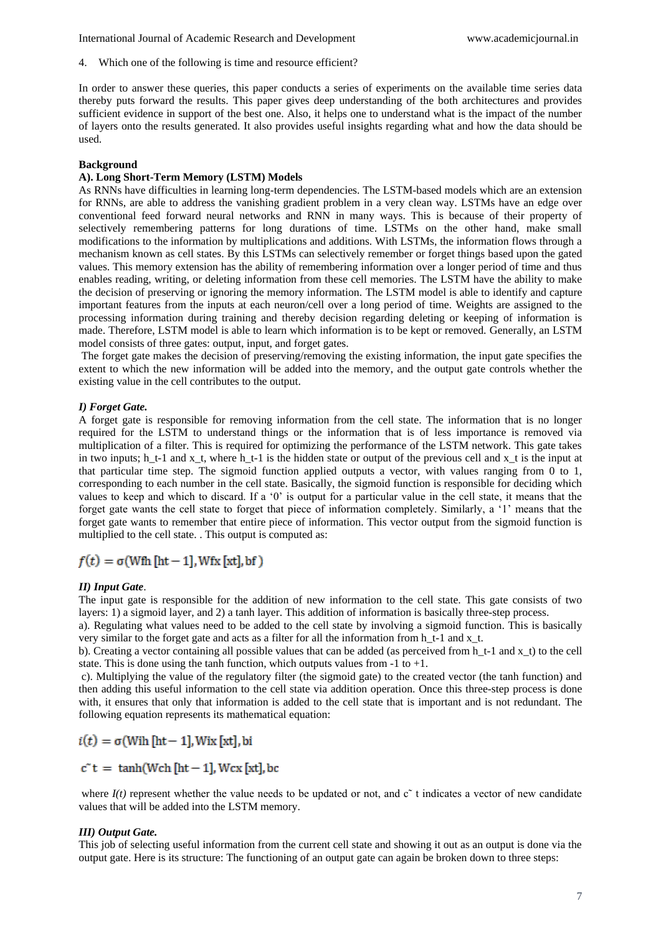4. Which one of the following is time and resource efficient?

In order to answer these queries, this paper conducts a series of experiments on the available time series data thereby puts forward the results. This paper gives deep understanding of the both architectures and provides sufficient evidence in support of the best one. Also, it helps one to understand what is the impact of the number of layers onto the results generated. It also provides useful insights regarding what and how the data should be used.

#### **Background**

# **A). Long Short-Term Memory (LSTM) Models**

As RNNs have difficulties in learning long-term dependencies. The LSTM-based models which are an extension for RNNs, are able to address the vanishing gradient problem in a very clean way. LSTMs have an edge over conventional feed forward neural networks and RNN in many ways. This is because of their property of selectively remembering patterns for long durations of time. LSTMs on the other hand, make small modifications to the information by multiplications and additions. With LSTMs, the information flows through a mechanism known as cell states. By this LSTMs can selectively remember or forget things based upon the gated values. This memory extension has the ability of remembering information over a longer period of time and thus enables reading, writing, or deleting information from these cell memories. The LSTM have the ability to make the decision of preserving or ignoring the memory information. The LSTM model is able to identify and capture important features from the inputs at each neuron/cell over a long period of time. Weights are assigned to the processing information during training and thereby decision regarding deleting or keeping of information is made. Therefore, LSTM model is able to learn which information is to be kept or removed. Generally, an LSTM model consists of three gates: output, input, and forget gates.

The forget gate makes the decision of preserving/removing the existing information, the input gate specifies the extent to which the new information will be added into the memory, and the output gate controls whether the existing value in the cell contributes to the output.

#### *I) Forget Gate.*

A forget gate is responsible for removing information from the cell state. The information that is no longer required for the LSTM to understand things or the information that is of less importance is removed via multiplication of a filter. This is required for optimizing the performance of the LSTM network. This gate takes in two inputs; h\_t-1 and x\_t, where h\_t-1 is the hidden state or output of the previous cell and x\_t is the input at that particular time step. The sigmoid function applied outputs a vector, with values ranging from 0 to 1, corresponding to each number in the cell state. Basically, the sigmoid function is responsible for deciding which values to keep and which to discard. If a '0' is output for a particular value in the cell state, it means that the forget gate wants the cell state to forget that piece of information completely. Similarly, a '1' means that the forget gate wants to remember that entire piece of information. This vector output from the sigmoid function is multiplied to the cell state. . This output is computed as:

# $f(t) = \sigma(Wfh[ht-1], Wfx[xt], bf)$

#### *II) Input Gate*.

The input gate is responsible for the addition of new information to the cell state. This gate consists of two layers: 1) a sigmoid layer, and 2) a tanh layer. This addition of information is basically three-step process.

a). Regulating what values need to be added to the cell state by involving a sigmoid function. This is basically very similar to the forget gate and acts as a filter for all the information from h\_t-1 and x\_t.

b). Creating a vector containing all possible values that can be added (as perceived from h $t-1$  and x t) to the cell state. This is done using the tanh function, which outputs values from  $-1$  to  $+1$ .

c). Multiplying the value of the regulatory filter (the sigmoid gate) to the created vector (the tanh function) and then adding this useful information to the cell state via addition operation. Once this three-step process is done with, it ensures that only that information is added to the cell state that is important and is not redundant. The following equation represents its mathematical equation:

$$
i(t) = \sigma(\text{With }[\text{ht} - 1], \text{Wix }[\text{xt}], \text{bi})
$$

$$
c^*t = \tanh(Weh [ht-1], Wcx [xt], bc
$$

where  $I(t)$  represent whether the value needs to be updated or not, and  $c<sup>o</sup>$  t indicates a vector of new candidate values that will be added into the LSTM memory.

## *III) Output Gate.*

This job of selecting useful information from the current cell state and showing it out as an output is done via the output gate. Here is its structure: The functioning of an output gate can again be broken down to three steps: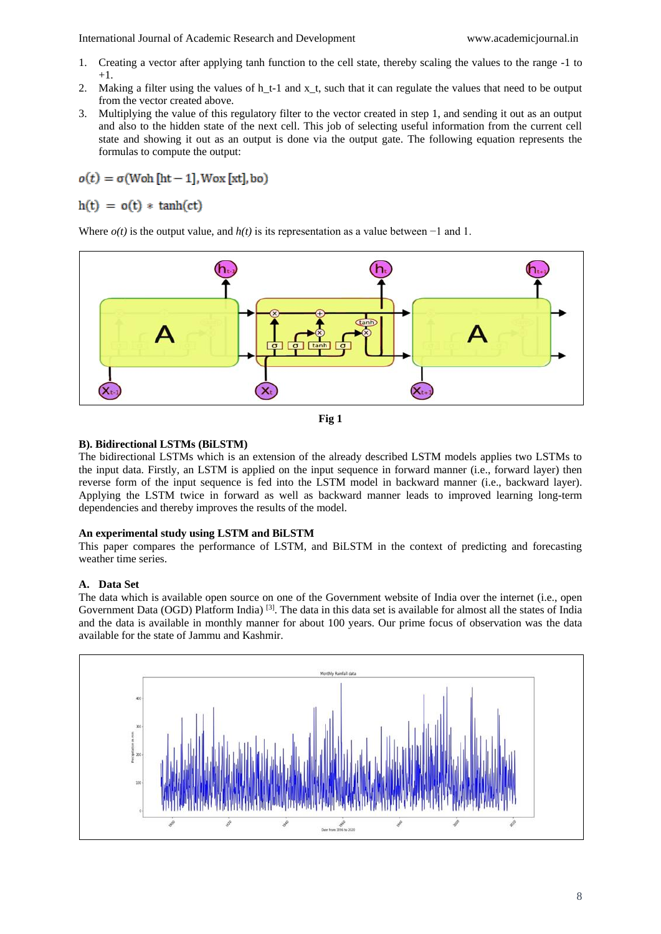International Journal of Academic Research and Development www.academicjournal.in

- 1. Creating a vector after applying tanh function to the cell state, thereby scaling the values to the range -1 to  $+1$ .
- 2. Making a filter using the values of h $t-1$  and x t, such that it can regulate the values that need to be output from the vector created above.
- 3. Multiplying the value of this regulatory filter to the vector created in step 1, and sending it out as an output and also to the hidden state of the next cell. This job of selecting useful information from the current cell state and showing it out as an output is done via the output gate. The following equation represents the formulas to compute the output:

 $o(t) = \sigma(W \circ h \cdot [ht-1], W \circ x \cdot [xt], b \circ)$ 

 $h(t) = o(t) * tanh(ct)$ 

Where *o(t)* is the output value, and *h(t)* is its representation as a value between −1 and 1.





# **B). Bidirectional LSTMs (BiLSTM)**

The bidirectional LSTMs which is an extension of the already described LSTM models applies two LSTMs to the input data. Firstly, an LSTM is applied on the input sequence in forward manner (i.e., forward layer) then reverse form of the input sequence is fed into the LSTM model in backward manner (i.e., backward layer). Applying the LSTM twice in forward as well as backward manner leads to improved learning long-term dependencies and thereby improves the results of the model.

# **An experimental study using LSTM and BiLSTM**

This paper compares the performance of LSTM, and BiLSTM in the context of predicting and forecasting weather time series.

# **A. Data Set**

The data which is available open source on one of the Government website of India over the internet (i.e., open Government Data (OGD) Platform India)<sup>[3]</sup>. The data in this data set is available for almost all the states of India and the data is available in monthly manner for about 100 years. Our prime focus of observation was the data available for the state of Jammu and Kashmir.

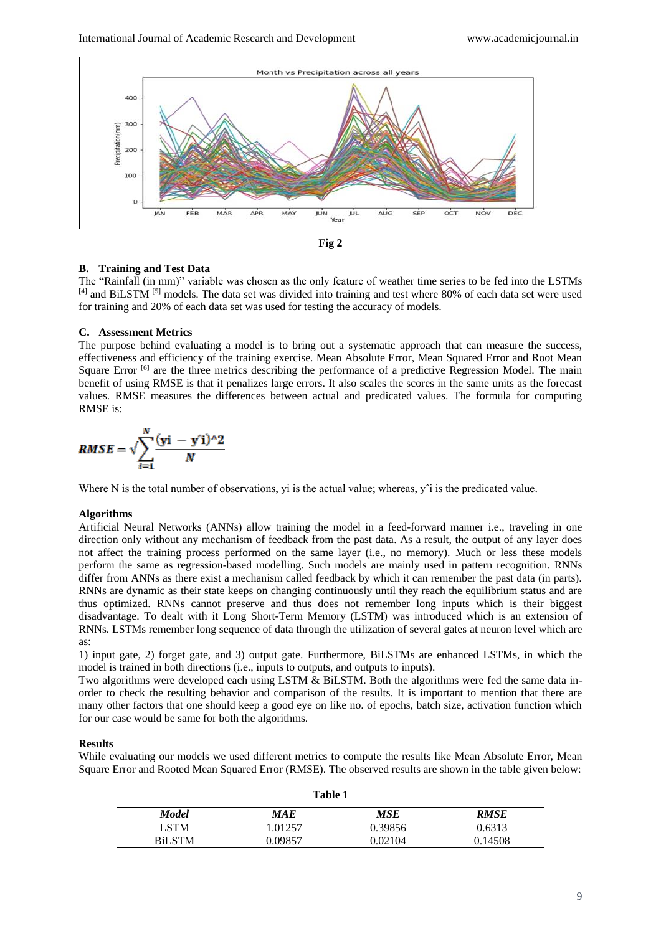



### **B. Training and Test Data**

The "Rainfall (in mm)" variable was chosen as the only feature of weather time series to be fed into the LSTMs [4] and BiLSTM <sup>[5]</sup> models. The data set was divided into training and test where 80% of each data set were used for training and 20% of each data set was used for testing the accuracy of models.

### **C. Assessment Metrics**

The purpose behind evaluating a model is to bring out a systematic approach that can measure the success, effectiveness and efficiency of the training exercise. Mean Absolute Error, Mean Squared Error and Root Mean Square Error  $[6]$  are the three metrics describing the performance of a predictive Regression Model. The main benefit of using RMSE is that it penalizes large errors. It also scales the scores in the same units as the forecast values. RMSE measures the differences between actual and predicated values. The formula for computing RMSE is:

$$
RMSE = \sqrt{\sum_{i=1}^{N} \frac{(yi - y'i)^{2}}{N}}
$$

Where N is the total number of observations, yi is the actual value; whereas,  $y<sup>2</sup>$  is the predicated value.

### **Algorithms**

Artificial Neural Networks (ANNs) allow training the model in a feed-forward manner i.e., traveling in one direction only without any mechanism of feedback from the past data. As a result, the output of any layer does not affect the training process performed on the same layer (i.e., no memory). Much or less these models perform the same as regression-based modelling. Such models are mainly used in pattern recognition. RNNs differ from ANNs as there exist a mechanism called feedback by which it can remember the past data (in parts). RNNs are dynamic as their state keeps on changing continuously until they reach the equilibrium status and are thus optimized. RNNs cannot preserve and thus does not remember long inputs which is their biggest disadvantage. To dealt with it Long Short-Term Memory (LSTM) was introduced which is an extension of RNNs. LSTMs remember long sequence of data through the utilization of several gates at neuron level which are as:

1) input gate, 2) forget gate, and 3) output gate. Furthermore, BiLSTMs are enhanced LSTMs, in which the model is trained in both directions (i.e., inputs to outputs, and outputs to inputs).

Two algorithms were developed each using LSTM & BiLSTM. Both the algorithms were fed the same data inorder to check the resulting behavior and comparison of the results. It is important to mention that there are many other factors that one should keep a good eye on like no. of epochs, batch size, activation function which for our case would be same for both the algorithms.

### **Results**

While evaluating our models we used different metrics to compute the results like Mean Absolute Error, Mean Square Error and Rooted Mean Squared Error (RMSE). The observed results are shown in the table given below:

| <b>Model</b> | MAE     | MSE     | RMSE    |
|--------------|---------|---------|---------|
| LSTM         | 1.01257 | 0.39856 | 0.6313  |
| BiLSTM       | ).09857 | -02104  | 0.14508 |

**Table 1**